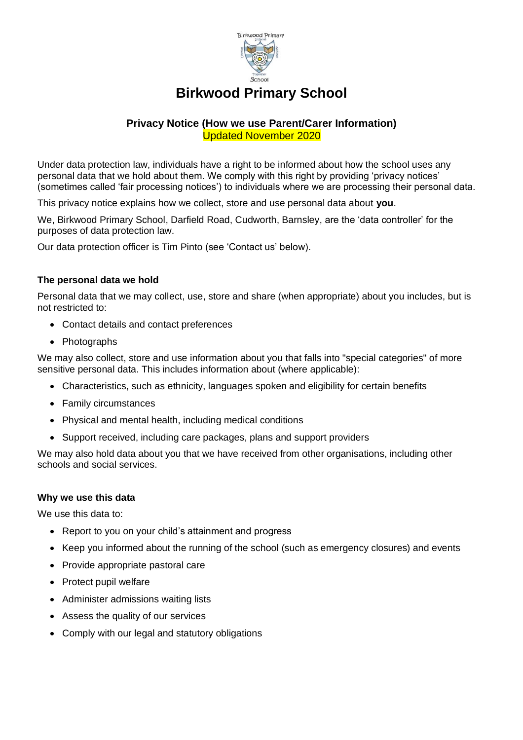

# **Birkwood Primary School**

# **Privacy Notice (How we use Parent/Carer Information)** Updated November 2020

Under data protection law, individuals have a right to be informed about how the school uses any personal data that we hold about them. We comply with this right by providing 'privacy notices' (sometimes called 'fair processing notices') to individuals where we are processing their personal data.

This privacy notice explains how we collect, store and use personal data about **you**.

We, Birkwood Primary School, Darfield Road, Cudworth, Barnsley, are the 'data controller' for the purposes of data protection law.

Our data protection officer is Tim Pinto (see 'Contact us' below).

# **The personal data we hold**

Personal data that we may collect, use, store and share (when appropriate) about you includes, but is not restricted to:

- Contact details and contact preferences
- Photographs

We may also collect, store and use information about you that falls into "special categories" of more sensitive personal data. This includes information about (where applicable):

- Characteristics, such as ethnicity, languages spoken and eligibility for certain benefits
- Family circumstances
- Physical and mental health, including medical conditions
- Support received, including care packages, plans and support providers

We may also hold data about you that we have received from other organisations, including other schools and social services.

## **Why we use this data**

We use this data to:

- Report to you on your child's attainment and progress
- Keep you informed about the running of the school (such as emergency closures) and events
- Provide appropriate pastoral care
- Protect pupil welfare
- Administer admissions waiting lists
- Assess the quality of our services
- Comply with our legal and statutory obligations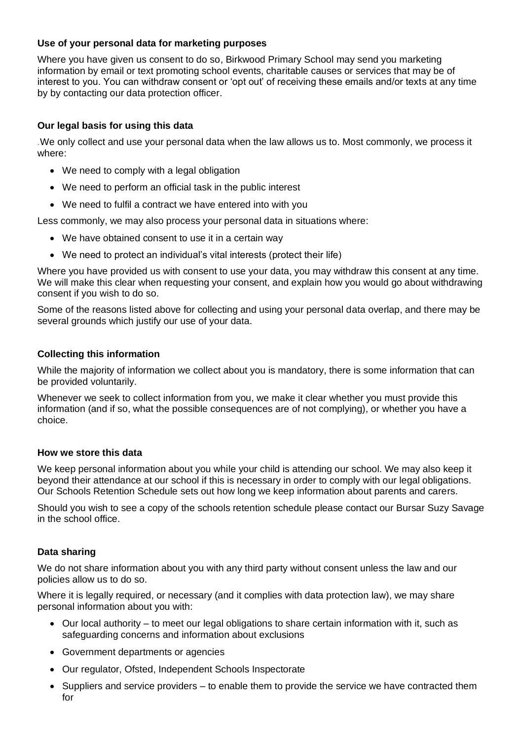# **Use of your personal data for marketing purposes**

Where you have given us consent to do so, Birkwood Primary School may send you marketing information by email or text promoting school events, charitable causes or services that may be of interest to you. You can withdraw consent or 'opt out' of receiving these emails and/or texts at any time by by contacting our data protection officer.

## **Our legal basis for using this data**

*.*We only collect and use your personal data when the law allows us to. Most commonly, we process it where:

- We need to comply with a legal obligation
- We need to perform an official task in the public interest
- We need to fulfil a contract we have entered into with you

Less commonly, we may also process your personal data in situations where:

- We have obtained consent to use it in a certain way
- We need to protect an individual's vital interests (protect their life)

Where you have provided us with consent to use your data, you may withdraw this consent at any time. We will make this clear when requesting your consent, and explain how you would go about withdrawing consent if you wish to do so.

Some of the reasons listed above for collecting and using your personal data overlap, and there may be several grounds which justify our use of your data.

# **Collecting this information**

While the majority of information we collect about you is mandatory, there is some information that can be provided voluntarily.

Whenever we seek to collect information from you, we make it clear whether you must provide this information (and if so, what the possible consequences are of not complying), or whether you have a choice.

## **How we store this data**

We keep personal information about you while your child is attending our school. We may also keep it beyond their attendance at our school if this is necessary in order to comply with our legal obligations. Our Schools Retention Schedule sets out how long we keep information about parents and carers.

Should you wish to see a copy of the schools retention schedule please contact our Bursar Suzy Savage in the school office.

# **Data sharing**

We do not share information about you with any third party without consent unless the law and our policies allow us to do so.

Where it is legally required, or necessary (and it complies with data protection law), we may share personal information about you with:

- Our local authority to meet our legal obligations to share certain information with it, such as safeguarding concerns and information about exclusions
- Government departments or agencies
- Our regulator, Ofsted, Independent Schools Inspectorate
- Suppliers and service providers to enable them to provide the service we have contracted them for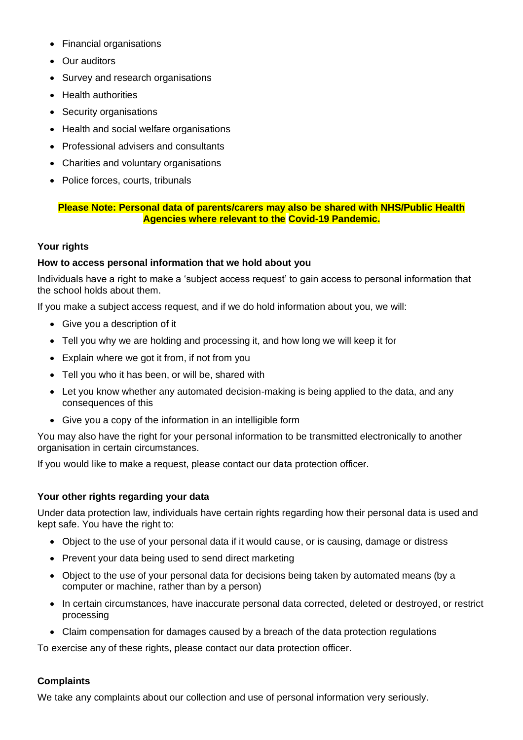- Financial organisations
- Our auditors
- Survey and research organisations
- Health authorities
- Security organisations
- Health and social welfare organisations
- Professional advisers and consultants
- Charities and voluntary organisations
- Police forces, courts, tribunals

# **Please Note: Personal data of parents/carers may also be shared with NHS/Public Health Agencies where relevant to the Covid-19 Pandemic.**

## **Your rights**

## **How to access personal information that we hold about you**

Individuals have a right to make a 'subject access request' to gain access to personal information that the school holds about them.

If you make a subject access request, and if we do hold information about you, we will:

- Give you a description of it
- Tell you why we are holding and processing it, and how long we will keep it for
- Explain where we got it from, if not from you
- Tell you who it has been, or will be, shared with
- Let you know whether any automated decision-making is being applied to the data, and any consequences of this
- Give you a copy of the information in an intelligible form

You may also have the right for your personal information to be transmitted electronically to another organisation in certain circumstances.

If you would like to make a request, please contact our data protection officer.

## **Your other rights regarding your data**

Under data protection law, individuals have certain rights regarding how their personal data is used and kept safe. You have the right to:

- Object to the use of your personal data if it would cause, or is causing, damage or distress
- Prevent your data being used to send direct marketing
- Object to the use of your personal data for decisions being taken by automated means (by a computer or machine, rather than by a person)
- In certain circumstances, have inaccurate personal data corrected, deleted or destroyed, or restrict processing
- Claim compensation for damages caused by a breach of the data protection regulations

To exercise any of these rights, please contact our data protection officer.

# **Complaints**

We take any complaints about our collection and use of personal information very seriously.